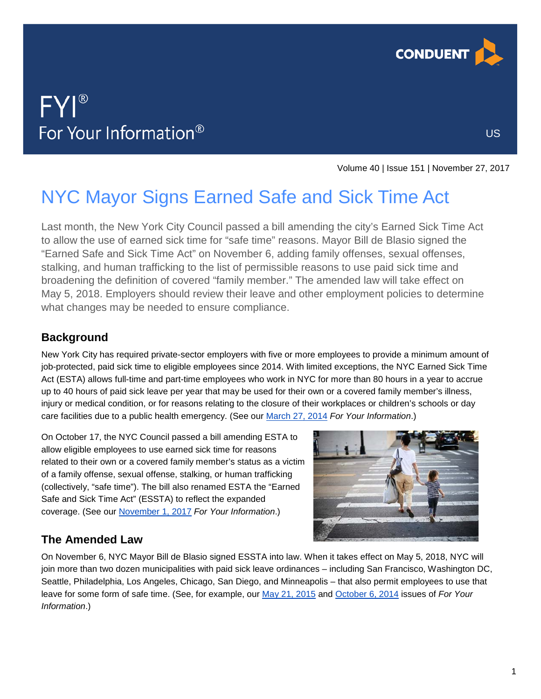

US

# FYI® For Your Information®

Volume 40 | Issue 151 | November 27, 2017

## NYC Mayor Signs Earned Safe and Sick Time Act

Last month, the New York City Council passed a bill amending the city's Earned Sick Time Act to allow the use of earned sick time for "safe time" reasons. Mayor Bill de Blasio signed the "Earned Safe and Sick Time Act" on November 6, adding family offenses, sexual offenses, stalking, and human trafficking to the list of permissible reasons to use paid sick time and broadening the definition of covered "family member." The amended law will take effect on May 5, 2018. Employers should review their leave and other employment policies to determine what changes may be needed to ensure compliance.

## **Background**

New York City has required private-sector employers with five or more employees to provide a minimum amount of job-protected, paid sick time to eligible employees since 2014. With limited exceptions, the NYC Earned Sick Time Act (ESTA) allows full-time and part-time employees who work in NYC for more than 80 hours in a year to accrue up to 40 hours of paid sick leave per year that may be used for their own or a covered family member's illness, injury or medical condition, or for reasons relating to the closure of their workplaces or children's schools or day care facilities due to a public health emergency. (See our [March 27, 2014](https://analysis.hrservices.conduent.com/wp-content/uploads/sites/2/2014/03/hrc_fyi_2014-03-27.pdf) *For Your Information*.)

On October 17, the NYC Council passed a bill amending ESTA to allow eligible employees to use earned sick time for reasons related to their own or a covered family member's status as a victim of a family offense, sexual offense, stalking, or human trafficking (collectively, "safe time"). The bill also renamed ESTA the "Earned Safe and Sick Time Act" (ESSTA) to reflect the expanded coverage. (See our [November 1, 2017](https://analysis.hrservices.conduent.com/2017/11/01/nyc-amends-sick-leave-law-to-include-safe-time/) *For Your Information*.)



### **The Amended Law**

On November 6, NYC Mayor Bill de Blasio signed ESSTA into law. When it takes effect on May 5, 2018, NYC will join more than two dozen municipalities with paid sick leave ordinances – including San Francisco, Washington DC, Seattle, Philadelphia, Los Angeles, Chicago, San Diego, and Minneapolis – that also permit employees to use that leave for some form of safe time. (See, for example, our [May 21, 2015](https://analysis.hrservices.conduent.com/wp-content/uploads/sites/2/2017/10/hrc_fyi_2015-05-21.pdf) and [October 6, 2014](https://analysis.hrservices.conduent.com/wp-content/uploads/sites/2/2014/10/hrc_fyi_2014-10-06.pdf) issues of *For Your Information*.)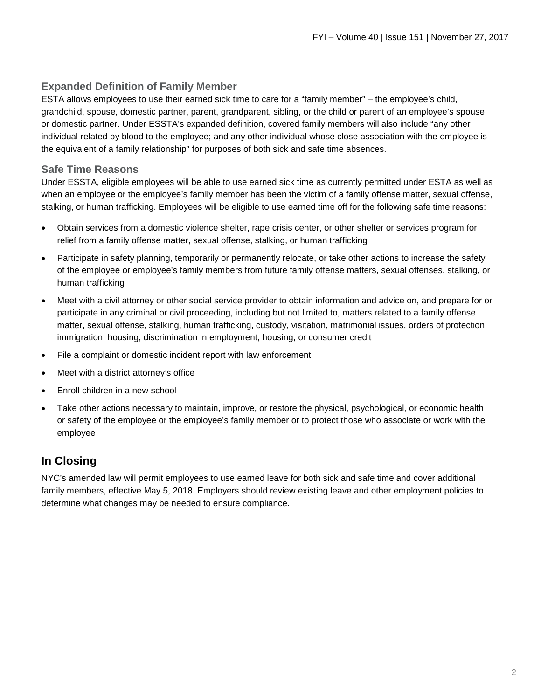#### **Expanded Definition of Family Member**

ESTA allows employees to use their earned sick time to care for a "family member" – the employee's child, grandchild, spouse, domestic partner, parent, grandparent, sibling, or the child or parent of an employee's spouse or domestic partner. Under ESSTA's expanded definition, covered family members will also include "any other individual related by blood to the employee; and any other individual whose close association with the employee is the equivalent of a family relationship" for purposes of both sick and safe time absences.

#### **Safe Time Reasons**

Under ESSTA, eligible employees will be able to use earned sick time as currently permitted under ESTA as well as when an employee or the employee's family member has been the victim of a family offense matter, sexual offense, stalking, or human trafficking. Employees will be eligible to use earned time off for the following safe time reasons:

- Obtain services from a domestic violence shelter, rape crisis center, or other shelter or services program for relief from a family offense matter, sexual offense, stalking, or human trafficking
- Participate in safety planning, temporarily or permanently relocate, or take other actions to increase the safety of the employee or employee's family members from future family offense matters, sexual offenses, stalking, or human trafficking
- Meet with a civil attorney or other social service provider to obtain information and advice on, and prepare for or participate in any criminal or civil proceeding, including but not limited to, matters related to a family offense matter, sexual offense, stalking, human trafficking, custody, visitation, matrimonial issues, orders of protection, immigration, housing, discrimination in employment, housing, or consumer credit
- File a complaint or domestic incident report with law enforcement
- Meet with a district attorney's office
- Enroll children in a new school
- Take other actions necessary to maintain, improve, or restore the physical, psychological, or economic health or safety of the employee or the employee's family member or to protect those who associate or work with the employee

#### **In Closing**

NYC's amended law will permit employees to use earned leave for both sick and safe time and cover additional family members, effective May 5, 2018. Employers should review existing leave and other employment policies to determine what changes may be needed to ensure compliance.